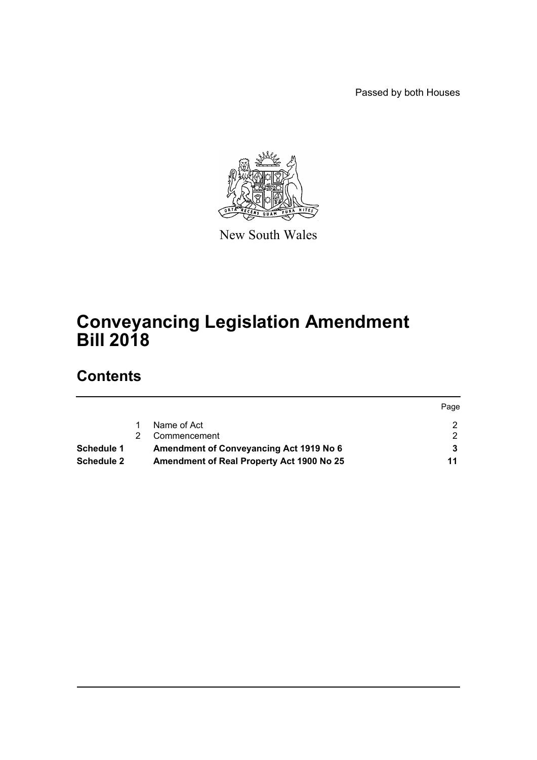Passed by both Houses



New South Wales

# **Conveyancing Legislation Amendment Bill 2018**

# **Contents**

|                   |                                                  | Page |
|-------------------|--------------------------------------------------|------|
|                   | Name of Act                                      |      |
|                   | Commencement                                     |      |
| Schedule 1        | <b>Amendment of Conveyancing Act 1919 No 6</b>   |      |
| <b>Schedule 2</b> | <b>Amendment of Real Property Act 1900 No 25</b> | 11   |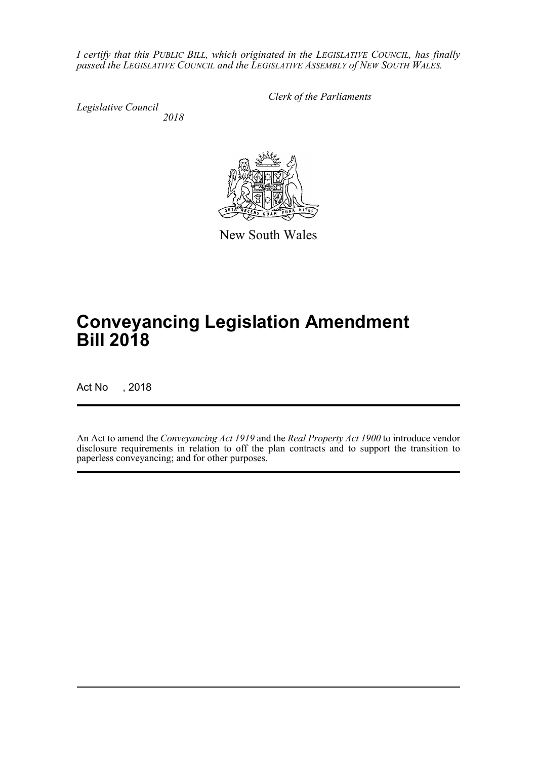*I certify that this PUBLIC BILL, which originated in the LEGISLATIVE COUNCIL, has finally passed the LEGISLATIVE COUNCIL and the LEGISLATIVE ASSEMBLY of NEW SOUTH WALES.*

*Legislative Council 2018* *Clerk of the Parliaments*

New South Wales

# **Conveyancing Legislation Amendment Bill 2018**

Act No , 2018

An Act to amend the *Conveyancing Act 1919* and the *Real Property Act 1900* to introduce vendor disclosure requirements in relation to off the plan contracts and to support the transition to paperless conveyancing; and for other purposes.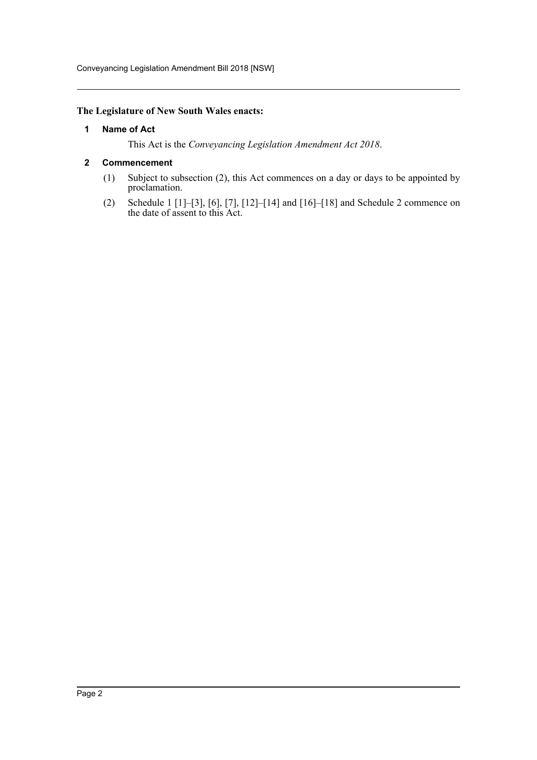Conveyancing Legislation Amendment Bill 2018 [NSW]

# <span id="page-2-0"></span>**The Legislature of New South Wales enacts:**

### **1 Name of Act**

This Act is the *Conveyancing Legislation Amendment Act 2018*.

# <span id="page-2-1"></span>**2 Commencement**

- (1) Subject to subsection (2), this Act commences on a day or days to be appointed by proclamation.
- (2) Schedule 1 [1]–[3], [6], [7], [12]–[14] and [16]–[18] and Schedule 2 commence on the date of assent to this Act.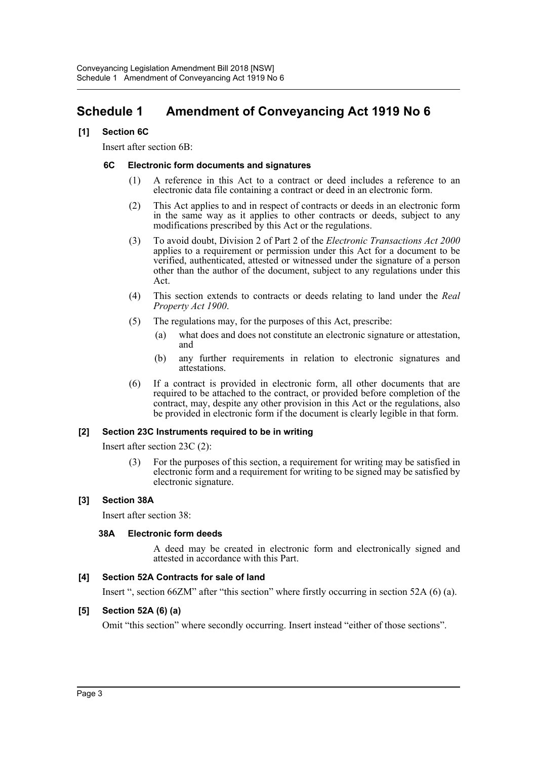# <span id="page-3-0"></span>**Schedule 1 Amendment of Conveyancing Act 1919 No 6**

# **[1] Section 6C**

Insert after section 6B:

### **6C Electronic form documents and signatures**

- (1) A reference in this Act to a contract or deed includes a reference to an electronic data file containing a contract or deed in an electronic form.
- (2) This Act applies to and in respect of contracts or deeds in an electronic form in the same way as it applies to other contracts or deeds, subject to any modifications prescribed by this Act or the regulations.
- (3) To avoid doubt, Division 2 of Part 2 of the *Electronic Transactions Act 2000* applies to a requirement or permission under this Act for a document to be verified, authenticated, attested or witnessed under the signature of a person other than the author of the document, subject to any regulations under this Act.
- (4) This section extends to contracts or deeds relating to land under the *Real Property Act 1900*.
- (5) The regulations may, for the purposes of this Act, prescribe:
	- (a) what does and does not constitute an electronic signature or attestation, and
	- (b) any further requirements in relation to electronic signatures and attestations.
- (6) If a contract is provided in electronic form, all other documents that are required to be attached to the contract, or provided before completion of the contract, may, despite any other provision in this Act or the regulations, also be provided in electronic form if the document is clearly legible in that form.

#### **[2] Section 23C Instruments required to be in writing**

Insert after section 23C (2):

(3) For the purposes of this section, a requirement for writing may be satisfied in electronic form and a requirement for writing to be signed may be satisfied by electronic signature.

#### **[3] Section 38A**

Insert after section 38:

#### **38A Electronic form deeds**

A deed may be created in electronic form and electronically signed and attested in accordance with this Part.

#### **[4] Section 52A Contracts for sale of land**

Insert ", section 66ZM" after "this section" where firstly occurring in section 52A (6) (a).

# **[5] Section 52A (6) (a)**

Omit "this section" where secondly occurring. Insert instead "either of those sections".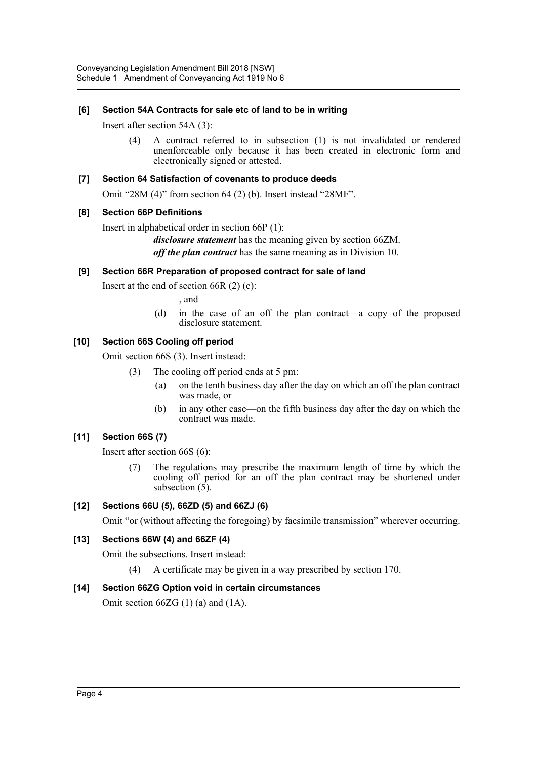# **[6] Section 54A Contracts for sale etc of land to be in writing**

Insert after section 54A (3):

(4) A contract referred to in subsection (1) is not invalidated or rendered unenforceable only because it has been created in electronic form and electronically signed or attested.

### **[7] Section 64 Satisfaction of covenants to produce deeds**

Omit "28M (4)" from section 64 (2) (b). Insert instead "28MF".

# **[8] Section 66P Definitions**

Insert in alphabetical order in section 66P (1):

*disclosure statement* has the meaning given by section 66ZM. *off the plan contract* has the same meaning as in Division 10.

# **[9] Section 66R Preparation of proposed contract for sale of land**

Insert at the end of section  $66R(2)(c)$ :

, and

(d) in the case of an off the plan contract—a copy of the proposed disclosure statement.

# **[10] Section 66S Cooling off period**

Omit section 66S (3). Insert instead:

- (3) The cooling off period ends at 5 pm:
	- (a) on the tenth business day after the day on which an off the plan contract was made, or
	- (b) in any other case—on the fifth business day after the day on which the contract was made.

# **[11] Section 66S (7)**

Insert after section 66S (6):

(7) The regulations may prescribe the maximum length of time by which the cooling off period for an off the plan contract may be shortened under subsection  $(5)$ .

# **[12] Sections 66U (5), 66ZD (5) and 66ZJ (6)**

Omit "or (without affecting the foregoing) by facsimile transmission" wherever occurring.

# **[13] Sections 66W (4) and 66ZF (4)**

Omit the subsections. Insert instead:

(4) A certificate may be given in a way prescribed by section 170.

#### **[14] Section 66ZG Option void in certain circumstances**

Omit section  $66ZG(1)$  (a) and  $(1A)$ .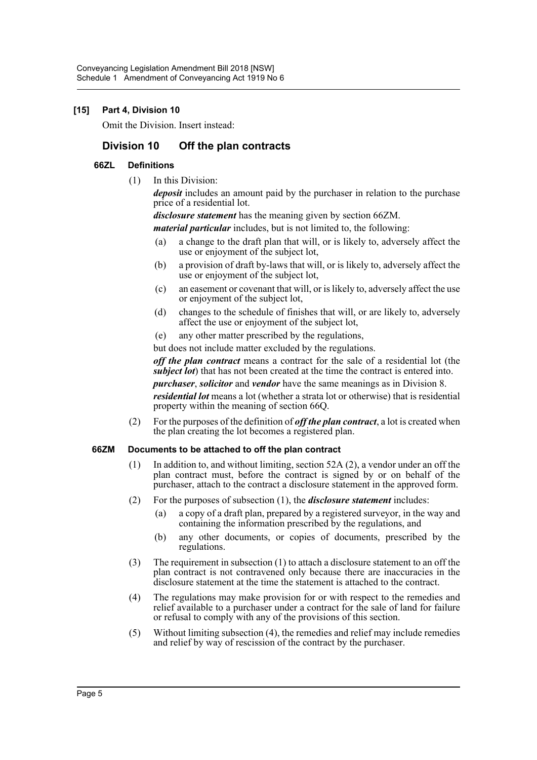# **[15] Part 4, Division 10**

Omit the Division. Insert instead:

# **Division 10 Off the plan contracts**

### **66ZL Definitions**

(1) In this Division:

*deposit* includes an amount paid by the purchaser in relation to the purchase price of a residential lot.

*disclosure statement* has the meaning given by section 66ZM.

*material particular* includes, but is not limited to, the following:

- (a) a change to the draft plan that will, or is likely to, adversely affect the use or enjoyment of the subject lot,
- (b) a provision of draft by-laws that will, or is likely to, adversely affect the use or enjoyment of the subject lot,
- (c) an easement or covenant that will, or is likely to, adversely affect the use or enjoyment of the subject lot,
- (d) changes to the schedule of finishes that will, or are likely to, adversely affect the use or enjoyment of the subject lot,
- (e) any other matter prescribed by the regulations,

but does not include matter excluded by the regulations.

*off the plan contract* means a contract for the sale of a residential lot (the *subject lot*) that has not been created at the time the contract is entered into.

*purchaser*, *solicitor* and *vendor* have the same meanings as in Division 8.

*residential lot* means a lot (whether a strata lot or otherwise) that is residential property within the meaning of section 66Q.

(2) For the purposes of the definition of *off the plan contract*, a lot is created when the plan creating the lot becomes a registered plan.

### **66ZM Documents to be attached to off the plan contract**

- (1) In addition to, and without limiting, section 52A (2), a vendor under an off the plan contract must, before the contract is signed by or on behalf of the purchaser, attach to the contract a disclosure statement in the approved form.
- (2) For the purposes of subsection (1), the *disclosure statement* includes:
	- (a) a copy of a draft plan, prepared by a registered surveyor, in the way and containing the information prescribed by the regulations, and
	- (b) any other documents, or copies of documents, prescribed by the regulations.
- (3) The requirement in subsection (1) to attach a disclosure statement to an off the plan contract is not contravened only because there are inaccuracies in the disclosure statement at the time the statement is attached to the contract.
- (4) The regulations may make provision for or with respect to the remedies and relief available to a purchaser under a contract for the sale of land for failure or refusal to comply with any of the provisions of this section.
- (5) Without limiting subsection (4), the remedies and relief may include remedies and relief by way of rescission of the contract by the purchaser.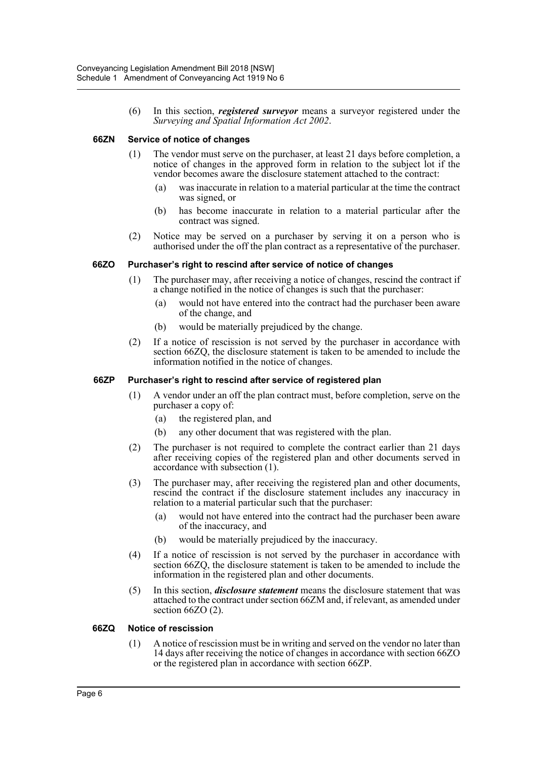(6) In this section, *registered surveyor* means a surveyor registered under the *Surveying and Spatial Information Act 2002*.

#### **66ZN Service of notice of changes**

- (1) The vendor must serve on the purchaser, at least 21 days before completion, a notice of changes in the approved form in relation to the subject lot if the vendor becomes aware the disclosure statement attached to the contract:
	- (a) was inaccurate in relation to a material particular at the time the contract was signed, or
	- (b) has become inaccurate in relation to a material particular after the contract was signed.
- (2) Notice may be served on a purchaser by serving it on a person who is authorised under the off the plan contract as a representative of the purchaser.

#### **66ZO Purchaser's right to rescind after service of notice of changes**

- (1) The purchaser may, after receiving a notice of changes, rescind the contract if a change notified in the notice of changes is such that the purchaser:
	- (a) would not have entered into the contract had the purchaser been aware of the change, and
	- (b) would be materially prejudiced by the change.
- (2) If a notice of rescission is not served by the purchaser in accordance with section 66ZQ, the disclosure statement is taken to be amended to include the information notified in the notice of changes.

#### **66ZP Purchaser's right to rescind after service of registered plan**

- (1) A vendor under an off the plan contract must, before completion, serve on the purchaser a copy of:
	- (a) the registered plan, and
	- (b) any other document that was registered with the plan.
- (2) The purchaser is not required to complete the contract earlier than 21 days after receiving copies of the registered plan and other documents served in accordance with subsection (1).
- (3) The purchaser may, after receiving the registered plan and other documents, rescind the contract if the disclosure statement includes any inaccuracy in relation to a material particular such that the purchaser:
	- (a) would not have entered into the contract had the purchaser been aware of the inaccuracy, and
	- (b) would be materially prejudiced by the inaccuracy.
- (4) If a notice of rescission is not served by the purchaser in accordance with section 66ZQ, the disclosure statement is taken to be amended to include the information in the registered plan and other documents.
- (5) In this section, *disclosure statement* means the disclosure statement that was attached to the contract under section 66ZM and, if relevant, as amended under section 66ZO (2).

#### **66ZQ Notice of rescission**

(1) A notice of rescission must be in writing and served on the vendor no later than 14 days after receiving the notice of changes in accordance with section 66ZO or the registered plan in accordance with section 66ZP.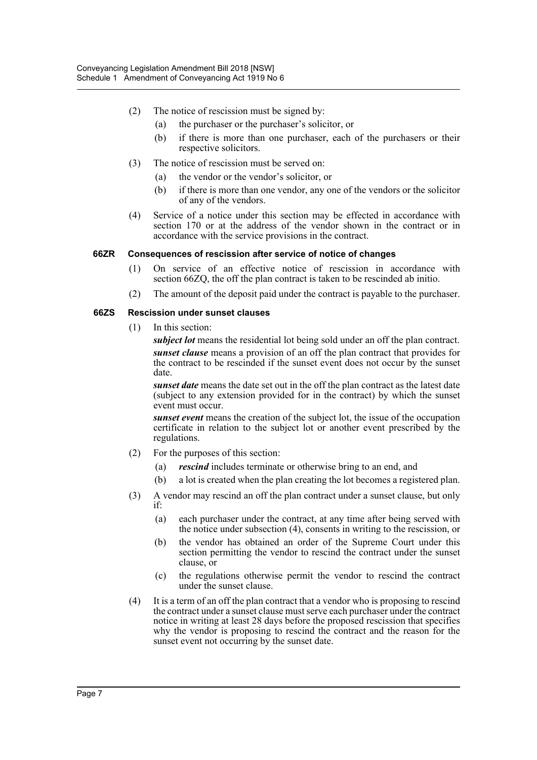- (2) The notice of rescission must be signed by:
	- (a) the purchaser or the purchaser's solicitor, or
	- (b) if there is more than one purchaser, each of the purchasers or their respective solicitors.
- (3) The notice of rescission must be served on:
	- (a) the vendor or the vendor's solicitor, or
	- (b) if there is more than one vendor, any one of the vendors or the solicitor of any of the vendors.
- (4) Service of a notice under this section may be effected in accordance with section 170 or at the address of the vendor shown in the contract or in accordance with the service provisions in the contract.

#### **66ZR Consequences of rescission after service of notice of changes**

- (1) On service of an effective notice of rescission in accordance with section 66ZQ, the off the plan contract is taken to be rescinded ab initio.
- (2) The amount of the deposit paid under the contract is payable to the purchaser.

#### **66ZS Rescission under sunset clauses**

(1) In this section:

*subject lot* means the residential lot being sold under an off the plan contract. *sunset clause* means a provision of an off the plan contract that provides for the contract to be rescinded if the sunset event does not occur by the sunset date.

*sunset date* means the date set out in the off the plan contract as the latest date (subject to any extension provided for in the contract) by which the sunset event must occur.

*sunset event* means the creation of the subject lot, the issue of the occupation certificate in relation to the subject lot or another event prescribed by the regulations.

- (2) For the purposes of this section:
	- (a) *rescind* includes terminate or otherwise bring to an end, and
	- (b) a lot is created when the plan creating the lot becomes a registered plan.
- (3) A vendor may rescind an off the plan contract under a sunset clause, but only if:
	- (a) each purchaser under the contract, at any time after being served with the notice under subsection (4), consents in writing to the rescission, or
	- (b) the vendor has obtained an order of the Supreme Court under this section permitting the vendor to rescind the contract under the sunset clause, or
	- (c) the regulations otherwise permit the vendor to rescind the contract under the sunset clause.
- (4) It is a term of an off the plan contract that a vendor who is proposing to rescind the contract under a sunset clause must serve each purchaser under the contract notice in writing at least 28 days before the proposed rescission that specifies why the vendor is proposing to rescind the contract and the reason for the sunset event not occurring by the sunset date.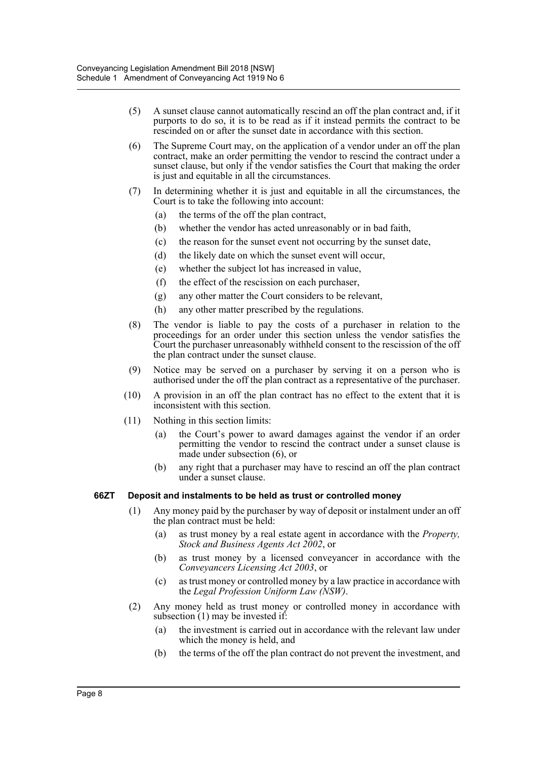- (5) A sunset clause cannot automatically rescind an off the plan contract and, if it purports to do so, it is to be read as if it instead permits the contract to be rescinded on or after the sunset date in accordance with this section.
- (6) The Supreme Court may, on the application of a vendor under an off the plan contract, make an order permitting the vendor to rescind the contract under a sunset clause, but only if the vendor satisfies the Court that making the order is just and equitable in all the circumstances.
- (7) In determining whether it is just and equitable in all the circumstances, the Court is to take the following into account:
	- (a) the terms of the off the plan contract,
	- (b) whether the vendor has acted unreasonably or in bad faith,
	- (c) the reason for the sunset event not occurring by the sunset date,
	- (d) the likely date on which the sunset event will occur,
	- (e) whether the subject lot has increased in value,
	- (f) the effect of the rescission on each purchaser,
	- (g) any other matter the Court considers to be relevant,
	- (h) any other matter prescribed by the regulations.
- (8) The vendor is liable to pay the costs of a purchaser in relation to the proceedings for an order under this section unless the vendor satisfies the Court the purchaser unreasonably withheld consent to the rescission of the off the plan contract under the sunset clause.
- (9) Notice may be served on a purchaser by serving it on a person who is authorised under the off the plan contract as a representative of the purchaser.
- (10) A provision in an off the plan contract has no effect to the extent that it is inconsistent with this section.
- (11) Nothing in this section limits:
	- (a) the Court's power to award damages against the vendor if an order permitting the vendor to rescind the contract under a sunset clause is made under subsection (6), or
	- (b) any right that a purchaser may have to rescind an off the plan contract under a sunset clause.

#### **66ZT Deposit and instalments to be held as trust or controlled money**

- (1) Any money paid by the purchaser by way of deposit or instalment under an off the plan contract must be held:
	- (a) as trust money by a real estate agent in accordance with the *Property, Stock and Business Agents Act 2002*, or
	- (b) as trust money by a licensed conveyancer in accordance with the *Conveyancers Licensing Act 2003*, or
	- (c) as trust money or controlled money by a law practice in accordance with the *Legal Profession Uniform Law (NSW)*.
- (2) Any money held as trust money or controlled money in accordance with subsection (1) may be invested if:
	- (a) the investment is carried out in accordance with the relevant law under which the money is held, and
	- (b) the terms of the off the plan contract do not prevent the investment, and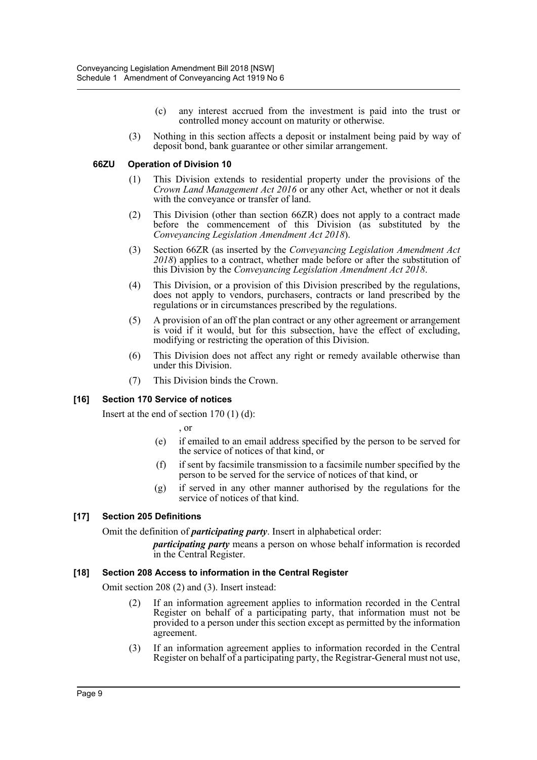- (c) any interest accrued from the investment is paid into the trust or controlled money account on maturity or otherwise.
- (3) Nothing in this section affects a deposit or instalment being paid by way of deposit bond, bank guarantee or other similar arrangement.

#### **66ZU Operation of Division 10**

- (1) This Division extends to residential property under the provisions of the *Crown Land Management Act 2016* or any other Act, whether or not it deals with the conveyance or transfer of land.
- (2) This Division (other than section 66ZR) does not apply to a contract made before the commencement of this Division (as substituted by the *Conveyancing Legislation Amendment Act 2018*).
- (3) Section 66ZR (as inserted by the *Conveyancing Legislation Amendment Act 2018*) applies to a contract, whether made before or after the substitution of this Division by the *Conveyancing Legislation Amendment Act 2018*.
- (4) This Division, or a provision of this Division prescribed by the regulations, does not apply to vendors, purchasers, contracts or land prescribed by the regulations or in circumstances prescribed by the regulations.
- (5) A provision of an off the plan contract or any other agreement or arrangement is void if it would, but for this subsection, have the effect of excluding, modifying or restricting the operation of this Division.
- (6) This Division does not affect any right or remedy available otherwise than under this Division.
- (7) This Division binds the Crown.

# **[16] Section 170 Service of notices**

Insert at the end of section  $170(1)(d)$ :

, or

- (e) if emailed to an email address specified by the person to be served for the service of notices of that kind, or
- (f) if sent by facsimile transmission to a facsimile number specified by the person to be served for the service of notices of that kind, or
- (g) if served in any other manner authorised by the regulations for the service of notices of that kind.

#### **[17] Section 205 Definitions**

Omit the definition of *participating party*. Insert in alphabetical order:

*participating party* means a person on whose behalf information is recorded in the Central Register.

#### **[18] Section 208 Access to information in the Central Register**

Omit section 208 (2) and (3). Insert instead:

- (2) If an information agreement applies to information recorded in the Central Register on behalf of a participating party, that information must not be provided to a person under this section except as permitted by the information agreement.
- (3) If an information agreement applies to information recorded in the Central Register on behalf of a participating party, the Registrar-General must not use,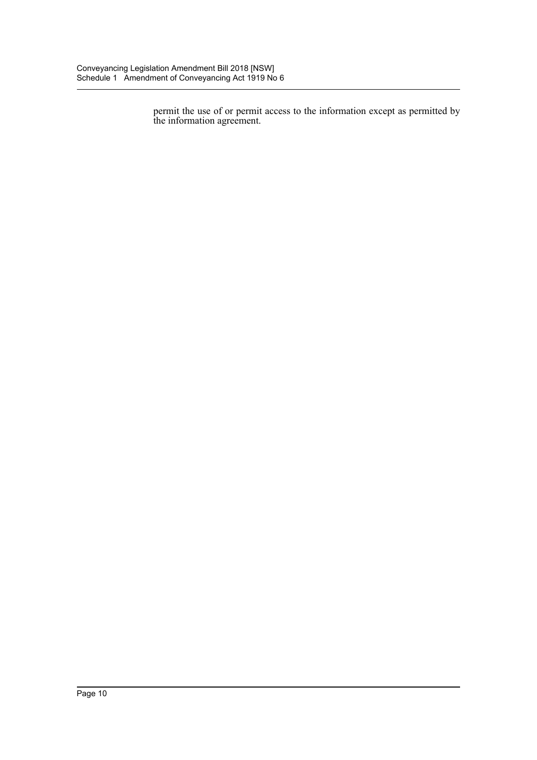permit the use of or permit access to the information except as permitted by the information agreement.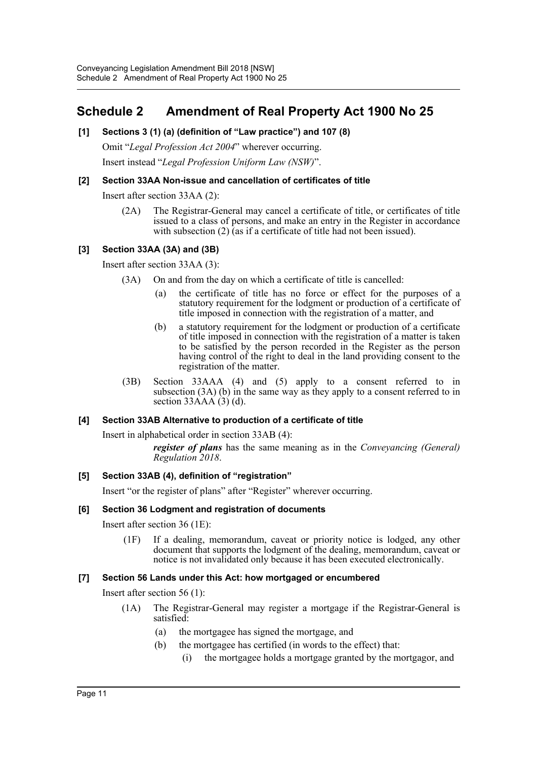# <span id="page-11-0"></span>**Schedule 2 Amendment of Real Property Act 1900 No 25**

# **[1] Sections 3 (1) (a) (definition of "Law practice") and 107 (8)**

Omit "*Legal Profession Act 2004*" wherever occurring. Insert instead "*Legal Profession Uniform Law (NSW)*".

# **[2] Section 33AA Non-issue and cancellation of certificates of title**

Insert after section 33AA (2):

(2A) The Registrar-General may cancel a certificate of title, or certificates of title issued to a class of persons, and make an entry in the Register in accordance with subsection (2) (as if a certificate of title had not been issued).

# **[3] Section 33AA (3A) and (3B)**

Insert after section 33AA (3):

- (3A) On and from the day on which a certificate of title is cancelled:
	- (a) the certificate of title has no force or effect for the purposes of a statutory requirement for the lodgment or production of a certificate of title imposed in connection with the registration of a matter, and
	- (b) a statutory requirement for the lodgment or production of a certificate of title imposed in connection with the registration of a matter is taken to be satisfied by the person recorded in the Register as the person having control of the right to deal in the land providing consent to the registration of the matter.
- (3B) Section 33AAA (4) and (5) apply to a consent referred to in subsection  $(3A)$  (b) in the same way as they apply to a consent referred to in section  $33AAA(3)$  (d).

#### **[4] Section 33AB Alternative to production of a certificate of title**

Insert in alphabetical order in section 33AB (4):

*register of plans* has the same meaning as in the *Conveyancing (General) Regulation 2018*.

#### **[5] Section 33AB (4), definition of "registration"**

Insert "or the register of plans" after "Register" wherever occurring.

#### **[6] Section 36 Lodgment and registration of documents**

Insert after section 36 (1E):

(1F) If a dealing, memorandum, caveat or priority notice is lodged, any other document that supports the lodgment of the dealing, memorandum, caveat or notice is not invalidated only because it has been executed electronically.

#### **[7] Section 56 Lands under this Act: how mortgaged or encumbered**

Insert after section 56 (1):

- (1A) The Registrar-General may register a mortgage if the Registrar-General is satisfied:
	- (a) the mortgagee has signed the mortgage, and
	- (b) the mortgagee has certified (in words to the effect) that:
		- (i) the mortgagee holds a mortgage granted by the mortgagor, and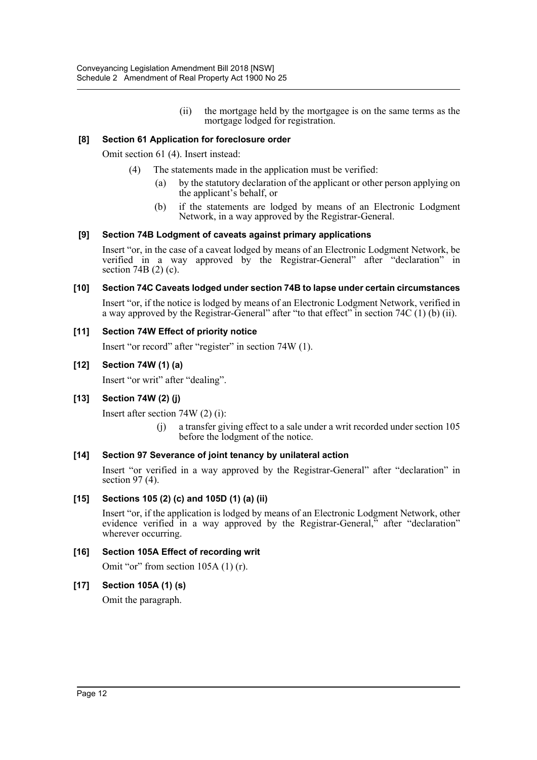(ii) the mortgage held by the mortgagee is on the same terms as the mortgage lodged for registration.

### **[8] Section 61 Application for foreclosure order**

Omit section 61 (4). Insert instead:

- (4) The statements made in the application must be verified:
	- (a) by the statutory declaration of the applicant or other person applying on the applicant's behalf, or
	- (b) if the statements are lodged by means of an Electronic Lodgment Network, in a way approved by the Registrar-General.

# **[9] Section 74B Lodgment of caveats against primary applications**

Insert "or, in the case of a caveat lodged by means of an Electronic Lodgment Network, be verified in a way approved by the Registrar-General" after "declaration" in section 74B (2) (c).

#### **[10] Section 74C Caveats lodged under section 74B to lapse under certain circumstances**

Insert "or, if the notice is lodged by means of an Electronic Lodgment Network, verified in a way approved by the Registrar-General" after "to that effect" in section 74C  $(1)$  (b) (ii).

# **[11] Section 74W Effect of priority notice**

Insert "or record" after "register" in section 74W (1).

# **[12] Section 74W (1) (a)**

Insert "or writ" after "dealing".

# **[13] Section 74W (2) (j)**

Insert after section 74W (2) (i):

(j) a transfer giving effect to a sale under a writ recorded under section 105 before the lodgment of the notice.

#### **[14] Section 97 Severance of joint tenancy by unilateral action**

Insert "or verified in a way approved by the Registrar-General" after "declaration" in section 97 (4).

#### **[15] Sections 105 (2) (c) and 105D (1) (a) (ii)**

Insert "or, if the application is lodged by means of an Electronic Lodgment Network, other evidence verified in a way approved by the Registrar-General," after "declaration" wherever occurring.

#### **[16] Section 105A Effect of recording writ**

Omit "or" from section 105A (1) (r).

#### **[17] Section 105A (1) (s)**

Omit the paragraph.